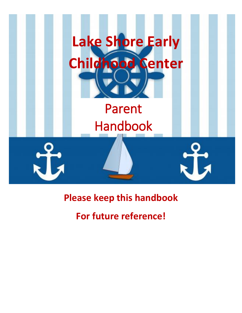

## **Please keep this handbook**

## **For future reference!**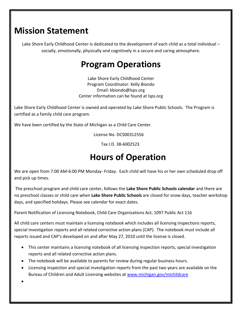### **Mission Statement**

Lake Shore Early Childhood Center-is dedicated to the development of each child as a total individual – socially, emotionally, physically and cognitively in a secure and caring atmosphere.

### **Program Operations**

Lake Shore Early Childhood Center Program Coordinator: Kelly Biondo Email: kbiondo@lsps.or[g](mailto:rainbowvalleykids@gmail.com) Center information can be found at lsps.org

Lake Shore Early Childhood Center is owned and operated by Lake Shore Public Schools. The Program is certified as a family child care program.

We have been certified by the State of Michigan as a Child Care Center.

License No. DC500312556

Tax I.D. 38-6002523

### **Hours of Operation**

We are open from 7:00 AM-6:00 PM Monday- Friday. Each child will have his or her own scheduled drop off and pick up times.

The preschool program and child care center, follows the **Lake Shore Public Schools calendar** and there are no preschool classes or child care when **Lake Shore Public Schools** are closed for snow days, teacher workshop days, and specified holidays. Please see calendar for exact dates.

Parent Notification of Licensing Notebook, Child Care Organizations Act, 1097 Public Act 116

All child care centers must maintain a licensing notebook which includes all licensing inspections reports, special investigation reports and all related corrective action plans (CAP). The notebook must include all reports issued and CAP's developed on and after May 27, 2010 until the license is closed.

- This center maintains a licensing notebook of all licensing inspection reports, special investigation reports and all related corrective action plans.
- The notebook will be available to parents for review during regular business hours.
- Licensing inspection and special investigation reports from the past two years are available on the Bureau of Children and Adult Licensing websites at [www.michigan.gov/michildcare](http://www.michigan.gov/michildcare)

 $\bullet$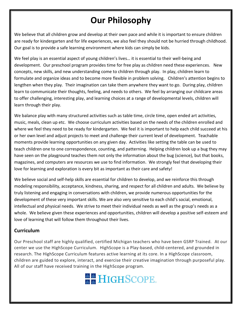## **Our Philosophy**

We believe that all children grow and develop at their own pace and while it is important to ensure children are ready for kindergarten and for life experiences, we also feel they should not be hurried through childhood. Our goal is to provide a safe learning environment where kids can simply be kids.

We feel play is an essential aspect of young children's lives… it is essential to their well-being and development. Our preschool program provides time for free play as children need these experiences. New concepts, new skills, and new understanding come to children through play. In play, children learn to formulate and organize ideas and to become more flexible in problem solving. Children's attention begins to lengthen when they play. Their imagination can take them anywhere they want to go. During play, children learn to communicate their thoughts, feeling, and needs to others. We feel by arranging our childcare areas to offer challenging, interesting play, and learning choices at a range of developmental levels, children will learn through their play.

We balance play with many structured activities such as table time, circle time, open ended art activities, music, meals, clean up etc. We choose curriculum activities based on the needs of the children enrolled and where we feel they need to be ready for kindergarten. We feel it is important to help each child succeed at his or her own level and adjust projects to meet and challenge their current level of development. Teachable moments provide learning opportunities on any given day. Activities like setting the table can be used to teach children one to one correspondence, counting, and patterning. Helping children look up a bug they may have seen on the playground teaches them not only the information about the bug (science), but that books, magazines, and computers are resources we use to find information. We strongly feel that developing their love for learning and exploration is every bit as important as their care and safety!

We believe social and self-help skills are essential for children to develop, and we reinforce this through modeling responsibility, acceptance, kindness, sharing, and respect for all children and adults. We believe by truly listening and engaging in conversations with children, we provide numerous opportunities for the development of these very important skills. We are also very sensitive to each child's social, emotional, intellectual and physical needs. We strive to meet their individual needs as well as the group's needs as a whole. We believe given these experiences and opportunities, children will develop a positive self-esteem and love of learning that will follow them throughout their lives.

### **Curriculum**

Our Preschool staff are highly qualified, certified Michigan teachers who have been GSRP Trained. At our center we use the HighScope Curriculum. HighScope is a Play-based, child-centered, and grounded in research. The HighScope Curriculum features active learning at its core. In a HighScope classroom, children are guided to explore, interact, and exercise their creative imagination through purposeful play. All of our staff have received training in the HighScope program.

# **& & HIGHSCOPE.**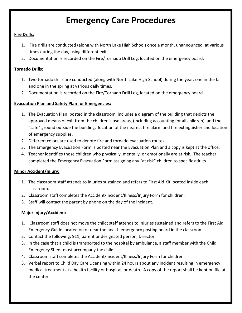### **Emergency Care Procedures**

#### **Fire Drills:**

- 1. Fire drills are conducted (along with North Lake High School) once a month, unannounced, at various times during the day, using different exits.
- 2. Documentation is recorded on the Fire/Tornado Drill Log, located on the emergency board.

#### **Tornado Drills:**

- 1. Two tornado drills are conducted (along with North Lake High School) during the year, one in the fall and one in the spring at various daily times.
- 2. Documentation is recorded on the Fire/Tornado Drill Log, located on the emergency board.

#### **Evacuation Plan and Safety Plan for Emergencies:**

- 1. The Evacuation Plan, posted in the classroom, includes a diagram of the building that depicts the approved means of exit from the children's use areas, (including accounting for all children), and the "safe" ground outside the building, location of the nearest fire alarm and fire extinguisher and location of emergency supplies.
- 2. Different colors are used to denote fire and tornado evacuation routes.
- 3. The Emergency Evacuation Form is posted near the Evacuation Plan and a copy is kept at the office.
- 4. Teacher identifies those children who physically, mentally, or emotionally are at risk. The teacher completed the Emergency Evacuation Form assigning any "at risk" children to specific adults.

#### **Minor Accident/Injury:**

- 1. The classroom staff attends to injuries sustained and refers to First Aid Kit located inside each classroom.
- 2. Classroom staff completes the Accident/Incident/Illness/Injury Form for children.
- 3. Staff will contact the parent by phone on the day of the incident.

#### **Major Injury/Accident:**

- 1. Classroom staff does not move the child; staff attends to injuries sustained and refers to the First Aid Emergency Guide located on or near the health emergency posting board in the classroom.
- 2. Contact the following: 911, parent or designated person, Director
- 3. In the case that a child is transported to the hospital by ambulance, a staff member with the Child Emergency Sheet must accompany the child.
- 4. Classroom staff completes the Accident/Incident/Illness/Injury Form for children.
- 5. Verbal report to Child Day Care Licensing within 24 hours about any incident resulting in emergency medical treatment at a health facility or hospital, or death. A copy of the report shall be kept on file at the center.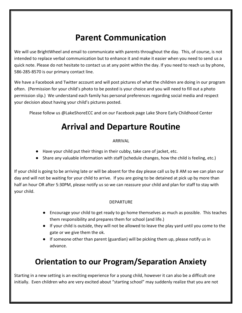## **Parent Communication**

We will use BrightWheel and email to communicate with parents throughout the day. This, of course, is not intended to replace verbal communication but to enhance it and make it easier when you need to send us a quick note. Please do not hesitate to contact us at any point within the day. If you need to reach us by phone, 586-285-8570 is our primary contact line.

We have a Facebook and Twitter account and will post pictures of what the children are doing in our program often. (Permission for your child's photo to be posted is your choice and you will need to fill out a photo permission slip.) We understand each family has personal preferences regarding social media and respect your decision about having your child's pictures posted.

Please follow us @LakeShoreECC and on our Facebook page Lake Shore Early Childhood Center

### **Arrival and Departure Routine**

### ARRIVAL

- Have your child put their things in their cubby, take care of jacket, etc.
- Share any valuable information with staff (schedule changes, how the child is feeling, etc.)

If your child is going to be arriving late or will be absent for the day please call us by 8 AM so we can plan our day and will not be waiting for your child to arrive. If you are going to be detained at pick up by more than half an hour OR after 5:30PM, please notify us so we can reassure your child and plan for staff to stay with your child.

#### DEPARTURE

- Encourage your child to get ready to go home themselves as much as possible. This teaches them responsibility and prepares them for school (and life.)
- If your child is outside, they will not be allowed to leave the play yard until you come to the gate or we give them the ok.
- If someone other than parent (guardian) will be picking them up, please notify us in advance.

### **Orientation to our Program/Separation Anxiety**

Starting in a new setting is an exciting experience for a young child, however it can also be a difficult one initially. Even children who are very excited about "starting school" may suddenly realize that you are not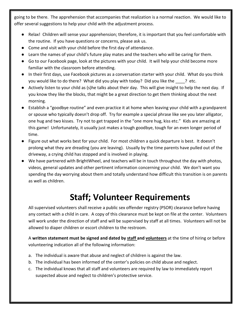going to be there. The apprehension that accompanies that realization is a normal reaction. We would like to offer several suggestions to help your child with the adjustment process.

- Relax! Children will sense your apprehension; therefore, it is important that you feel comfortable with the routine. If you have questions or concerns, please ask us.
- Come and visit with your child before the first day of attendance.
- Learn the names of your child's future play mates and the teachers who will be caring for them.
- Go to our Facebook page, look at the pictures with your child. It will help your child become more familiar with the classroom before attending.
- In their first days, use Facebook pictures as a conversation starter with your child. What do you think you would like to do there? What did you play with today? Did you like the ? etc.
- Actively listen to your child as (s)he talks about their day. This will give insight to help the next day. If you know they like the blocks, that might be a great direction to get them thinking about the next morning.
- Establish a "goodbye routine" and even practice it at home when leaving your child with a grandparent or spouse who typically doesn't drop off. Try for example a special phrase like see you later alligator, one hug and two kisses. Try not to get trapped in the "one more hug, kiss etc." Kids are amazing at this game! Unfortunately, it usually just makes a tough goodbye, tough for an even longer period of time.
- Figure out what works best for your child. For most children a quick departure is best. It doesn't prolong what they are dreading (you are leaving). Usually by the time parents have pulled out of the driveway, a crying child has stopped and is involved in playing.
- We have partnered with BrightWheel, and teachers will be in touch throughout the day with photos, videos, general updates and other pertinent information concerning your child. We don't want you spending the day worrying about them and totally understand how difficult this transition is on parents as well as children.

### **Staff; Volunteer Requirements**

All supervised volunteers shall receive a public sex offender registry (PSOR) clearance before having any contact with a child in care. A copy of this clearance must be kept on file at the center. Volunteers will work under the direction of staff and will be supervised by staff at all times. Volunteers will not be allowed to diaper children or escort children to the restroom.

A **written statement must be signed and dated by staff and volunteers** at the time of hiring or before volunteering indication all of the following information:

- a. The individual is aware that abuse and neglect of children is against the law.
- b. The individual has been informed of the center's policies on child abuse and neglect.
- c. The individual knows that all staff and volunteers are required by law to immediately report suspected abuse and neglect to children's protective service.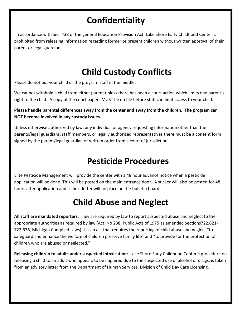## **Confidentiality**

In accordance with Sec. 438 of the general Education Provision Act, Lake Shore Early Childhood Center is prohibited from releasing information regarding former or present children without written approval of their parent or legal guardian.

## **Child Custody Conflicts**

Please do not put your child or the program staff in the middle.

We cannot withhold a child from either parent unless there has been a court action which limits one parent's right to the child. A copy of the court papers MUST be on file before staff can limit access to your child.

**Please handle parental differences away from the center and away from the children. The program can NOT become involved in any custody issues.** 

Unless otherwise authorized by law, any individual or agency requesting information other than the parents/legal guardians, staff members, or legally authorized representatives there must be a consent form signed by the parent/legal guardian or written order from a court of jurisdiction.

## **Pesticide Procedures**

Elite Pesticide Management will provide the center with a 48 hour advance notice when a pesticide application will be done. This will be posted on the main entrance door. A sticker will also be posted for 48 hours after application and a short letter will be place on the bulletin board.

## **Child Abuse and Neglect**

**All staff are mandated reporters.** They are required by law to report suspected abuse and neglect to the appropriate authorities as required by law (Act. No 238, Public Acts of 1975 as amended Sections722.621- 722.636, Michigan Compiled Laws).It is an act that requires the reporting of child abuse and neglect "to safeguard and enhance the welfare of children preserve family life" and "to provide for the protection of children who are abused or neglected."

**Releasing children to adults under suspected intoxication**: Lake Shore Early Childhood Center's procedure on releasing a child to an adult who appears to be impaired due to the suspected use of alcohol or drugs, is taken from an advisory letter from the Department of Human Services, Division of Child Day Care Licensing.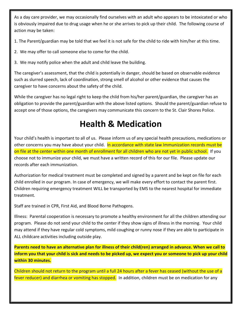As a day care provider, we may occasionally find ourselves with an adult who appears to be intoxicated or who is obviously impaired due to drug usage when he or she arrives to pick up their child. The following course of action may be taken:

1. The Parent/guardian may be told that we feel it is not safe for the child to ride with him/her at this time.

- 2. We may offer to call someone else to come for the child.
- 3. We may notify police when the adult and child leave the building.

The caregiver's assessment, that the child is potentially in danger, should be based on observable evidence such as slurred speech, lack of coordination, strong smell of alcohol or other evidence that causes the caregiver to have concerns about the safety of the child.

While the caregiver has no legal right to keep the child from his/her parent/guardian, the caregiver has an obligation to provide the parent/guardian with the above listed options. Should the parent/guardian refuse to accept one of those options, the caregivers may communicate this concern to the St. Clair Shores Police.

## **Health & Medication**

Your child's health is important to all of us. Please inform us of any special health precautions, medications or other concerns you may have about your child. In accordance with state law Immunization records must be on file at the center within one month of enrollment for all children who are not yet in public school. If you choose not to immunize your child, we must have a written record of this for our file. Please update our records after each immunization.

Authorization for medical treatment must be completed and signed by a parent and be kept on file for each child enrolled in our program. In case of emergency, we will make every effort to contact the parent first. Children requiring emergency treatment WILL be transported by EMS to the nearest hospital for immediate treatment.

Staff are trained in CPR, First Aid, and Blood Borne Pathogens.

Illness: Parental cooperation is necessary to promote a healthy environment for all the children attending our program. Please do not send your child to the center if they show signs of illness in the morning. Your child may attend if they have regular cold symptoms, mild coughing or runny nose if they are able to participate in ALL childcare activities including outside play.

**Parents need to have an alternative plan for illness of their child(ren) arranged in advance. When we call to inform you that your child is sick and needs to be picked up, we expect you or someone to pick up your child within 30 minutes.**

Children should not return to the program until a full 24 hours after a fever has ceased (without the use of a fever reducer) and diarrhea or vomiting has stopped. In addition, children must be on medication for any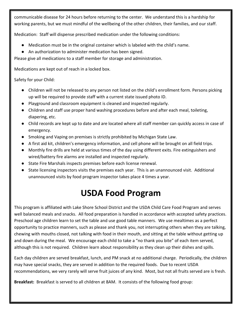communicable disease for 24 hours before returning to the center. We understand this is a hardship for working parents, but we must mindful of the wellbeing of the other children, their families, and our staff.

Medication: Staff will dispense prescribed medication under the following conditions:

- Medication must be in the original container which is labeled with the child's name.
- An authorization to administer medication has been signed.

Please give all medications to a staff member for storage and administration.

Medications are kept out of reach in a locked box.

Safety for your Child:

- Children will not be released to any person not listed on the child's enrollment form. Persons picking up will be required to provide staff with a current state issued photo ID.
- Playground and classroom equipment is cleaned and inspected regularly.
- Children and staff use proper hand washing procedures before and after each meal, toileting, diapering, etc.
- Child records are kept up to date and are located where all staff member can quickly access in case of emergency.
- Smoking and Vaping on premises is strictly prohibited by Michigan State Law.
- A first aid kit, children's emergency information, and cell phone will be brought on all field trips.
- Monthly fire drills are held at various times of the day using different exits. Fire extinguishers and wired/battery fire alarms are installed and inspected regularly.
- State Fire Marshals inspects premises before each license renewal.
- State licensing inspectors visits the premises each year. This is an unannounced visit. Additional unannounced visits by food program inspector takes place 4 times a year.

## **USDA Food Program**

This program is affiliated with Lake Shore School District and the USDA Child Care Food Program and serves well balanced meals and snacks. All food preparation is handled in accordance with accepted safety practices. Preschool age children learn to set the table and use good table manners. We use mealtimes as a perfect opportunity to practice manners, such as please and thank you, not interrupting others when they are talking, chewing with mouths closed, not talking with food in their mouth, and sitting at the table without getting up and down during the meal. We encourage each child to take a "no thank you bite" of each item served, although this is not required. Children learn about responsibility as they clean up their dishes and spills.

Each day children are served breakfast, lunch, and PM snack at no additional charge. Periodically, the children may have special snacks, they are served in addition to the required foods. Due to recent USDA recommendations, we very rarely will serve fruit juices of any kind. Most, but not all fruits served are is fresh.

**Breakfast:** Breakfast is served to all children at 8AM. It consists of the following food group: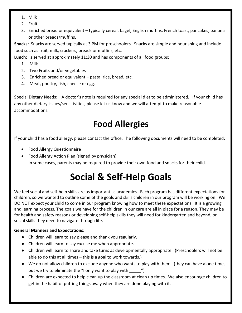- 1. Milk
- 2. Fruit
- 3. Enriched bread or equivalent typically cereal, bagel, English muffins, French toast, pancakes, banana or other breads/muffins.

**Snacks:** Snacks are served typically at 3 PM for preschoolers. Snacks are simple and nourishing and include food such as fruit, milk, crackers, breads or muffins, etc.

**Lunch:** is served at approximately 11:30 and has components of all food groups:

- 1. Milk
- 2. Two Fruits and/or vegetables
- 3. Enriched bread or equivalent pasta, rice, bread, etc.
- 4. Meat, poultry, fish, cheese or egg.

Special Dietary Needs: A doctor's note is required for any special diet to be administered. If your child has any other dietary issues/sensitivities, please let us know and we will attempt to make reasonable accommodations.

## **Food Allergies**

If your child has a food allergy, please contact the office. The following documents will need to be completed:

- Food Allergy Questionnaire
- Food Allergy Action Plan (signed by physician) In some cases, parents may be required to provide their own food and snacks for their child.

# **Social & Self-Help Goals**

We feel social and self-help skills are as important as academics. Each program has different expectations for children, so we wanted to outline some of the goals and skills children in our program will be working on. We DO NOT expect your child to come in our program knowing how to meet these expectations. It is a growing and learning process. The goals we have for the children in our care are all in place for a reason. They may be for health and safety reasons or developing self-help skills they will need for kindergarten and beyond, or social skills they need to navigate through life.

### **General Manners and Expectations:**

- Children will learn to say please and thank you regularly.
- Children will learn to say excuse me when appropriate.
- Children will learn to share and take turns as developmentally appropriate. (Preschoolers will not be able to do this at all times – this is a goal to work towards.)
- We do not allow children to exclude anyone who wants to play with them. (they can have alone time, but we try to eliminate the "I only want to play with  $\qquad$  ")
- Children are expected to help clean up the classroom at clean up times. We also encourage children to get in the habit of putting things away when they are done playing with it.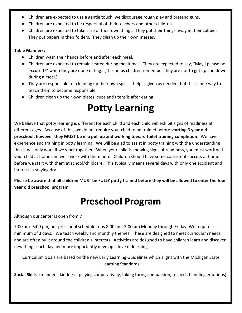- Children are expected to use a gentle touch, we discourage rough play and pretend guns.
- Children are expected to be respectful of their teachers and other children.
- Children are expected to take care of their own things. They put their things away in their cubbies. They put papers in their folders. They clean up their own messes.

#### **Table Manners:**

- Children wash their hands before and after each meal.
- Children are expected to remain seated during mealtimes. They are expected to say, "May I please be excused?" when they are done eating. (This helps children remember they are not to get up and down during a meal.)
- They are responsible for cleaning up their own spills help is given as needed, but this is one way to teach them to become responsible.
- Children clean up their own plates, cups and utensils after eating.

# **Potty Learning**

We believe that potty learning is different for each child and each child will exhibit signs of readiness at different ages. Because of this, we do not require your child to be trained before **starting 3 year old preschool, however they MUST be in a pull up and working toward toilet training completion.** We have experience and training in potty learning. We will be glad to assist in potty training with the understanding that it will only work if we work together. When your child is showing signs of readiness, you must work with your child at home and we'll work with them here. Children should have some consistent success at home before we start with them at school/childcare. This typically means several days with only one accident and interest in staying dry.

**Please be aware that all children MUST be FULLY potty trained before they will be allowed to enter the four year old preschool program.** 

## **Preschool Program**

Although our center is open from 7

7:00 am- 6:00 pm, our preschool schedule runs 8:00 am- 3:00 pm Monday through Friday. We require a minimum of 3 days. We teach weekly and monthly themes. These are designed to meet curriculum needs and are often built around the children's interests. Activities are designed to have children learn and discover new things each day and more importantly develop a love of learning.

Curriculum Goals are based on the new Early Learning Guidelines which aligns with the Michigan State Learning Standards

**Social Skills**- (manners, kindness, playing cooperatively, taking turns, compassion, respect, handling emotions).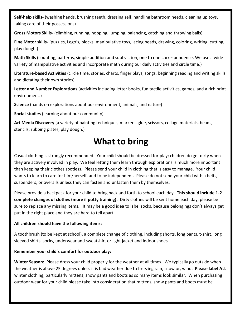**Self-help skills-** (washing hands, brushing teeth, dressing self, handling bathroom needs, cleaning up toys, taking care of their possessions)

**Gross Motors Skills-** (climbing, running, hopping, jumping, balancing, catching and throwing balls)

**Fine Motor skills-** (puzzles, Lego's, blocks, manipulative toys, lacing beads, drawing, coloring, writing, cutting, play dough.)

**Math Skills** (counting, patterns, simple addition and subtraction, one to one correspondence. We use a wide variety of manipulative activities and incorporate math during our daily activities and circle time.)

**Literature-based Activities** (circle time, stories, charts, finger plays, songs, beginning reading and writing skills and dictating their own stories).

**Letter and Number Explorations** (activities including letter books, fun tactile activities, games, and a rich print environment.)

**Science** (hands on explorations about our environment, animals, and nature)

**Social studies** (learning about our community)

**Art Media Discovery** (a variety of painting techniques, markers, glue, scissors, collage materials, beads, stencils, rubbing plates, play dough.)

### **What to bring**

Casual clothing is strongly recommended. Your child should be dressed for play; children do get dirty when they are actively involved in play. We feel letting them learn through explorations is much more important than keeping their clothes spotless. Please send your child in clothing that is easy to manage. Your child wants to learn to care for him/herself, and to be independent. Please do not send your child with a belts, suspenders, or overalls unless they can fasten and unfasten them by themselves.

Please provide a backpack for your child to bring back and forth to school each day. **This should include 1-2 complete changes of clothes (more if potty training).** Dirty clothes will be sent home each day, please be sure to replace any missing items. It may be a good idea to label socks, because belongings don't always get put in the right place and they are hard to tell apart.

#### **All children should have the following items:**

A toothbrush (to be kept at school), a complete change of clothing, including shorts, long pants, t-shirt, long sleeved shirts, socks, underwear and sweatshirt or light jacket and indoor shoes.

#### **Remember your child's comfort for outdoor play:**

**Winter Season:** Please dress your child properly for the weather at all times. We typically go outside when the weather is above 25 degrees unless it is bad weather due to freezing rain, snow or, wind. **Please label ALL** winter clothing, particularly mittens, snow pants and boots as so many items look similar. When purchasing outdoor wear for your child please take into consideration that mittens, snow pants and boots must be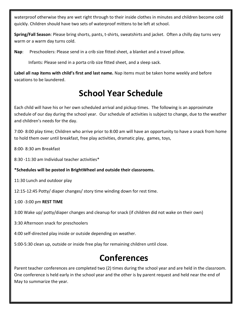waterproof otherwise they are wet right through to their inside clothes in minutes and children become cold quickly. Children should have two sets of waterproof mittens to be left at school.

**Spring/Fall Season**: Please bring shorts, pants, t-shirts, sweatshirts and jacket. Often a chilly day turns very warm or a warm day turns cold.

**Nap**: Preschoolers: Please send in a crib size fitted sheet, a blanket and a travel pillow.

Infants: Please send in a porta crib size fitted sheet, and a sleep sack.

**Label all nap items with child's first and last name.** Nap items must be taken home weekly and before vacations to be laundered.

### **School Year Schedule**

Each child will have his or her own scheduled arrival and pickup times. The following is an approximate schedule of our day during the school year. Our schedule of activities is subject to change, due to the weather and children's needs for the day.

7:00- 8:00 play time; Children who arrive prior to 8:00 am will have an opportunity to have a snack from home to hold them over until breakfast, free play activities, dramatic play, games, toys,

8:00- 8:30 am Breakfast

8:30 -11:30 am Individual teacher activities\*

**\*Schedules will be posted in BrightWheel and outside their classrooms.**

11:30 Lunch and outdoor play

12:15-12:45 Potty/ diaper changes/ story time winding down for rest time.

1:00 -3:00 pm **REST TIME**

3:00 Wake up/ potty/diaper changes and cleanup for snack (if children did not wake on their own)

3:30 Afternoon snack for preschoolers

4:00 self-directed play inside or outside depending on weather.

5:00-5:30 clean up, outside or inside free play for remaining children until close.

### **Conferences**

Parent teacher conferences are completed two (2) times during the school year and are held in the classroom. One conference is held early in the school year and the other is by parent request and held near the end of May to summarize the year.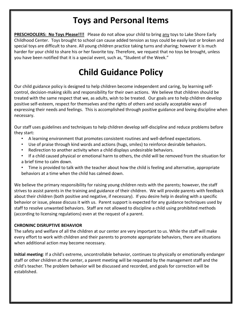### **Toys and Personal Items**

**PRESCHOOLERS: No Toys Please!!!!** Please do not allow your child to bring any toys to Lake Shore Early Childhood Center. Toys brought to school can cause added tension as toys could be easily lost or broken and special toys are difficult to share. All young children practice taking turns and sharing; however it is much harder for your child to share his or her favorite toy. Therefore, we request that no toys be brought, unless you have been notified that it is a special event, such as, "Student of the Week."

## **Child Guidance Policy**

Our child guidance policy is designed to help children become independent and caring, by learning selfcontrol, decision-making skills and responsibility for their own actions. We believe that children should be treated with the same respect that we, as adults, wish to be treated. Our goals are to help children develop positive self-esteem, respect for themselves and the rights of others and socially acceptable ways of expressing their needs and feelings. This is accomplished through positive guidance and loving discipline when necessary.

Our staff uses guidelines and techniques to help children develop self-discipline and reduce problems before they start:

- A learning environment that promotes consistent routines and well-defined expectations.
- Use of praise through kind words and actions (hugs, smiles) to reinforce desirable behaviors.
- Redirection to another activity when a child displays undesirable behaviors.
- If a child caused physical or emotional harm to others, the child will be removed from the situation for a brief time to calm down.
- Time is provided to talk with the teacher about how the child is feeling and alternative, appropriate behaviors at a time when the child has calmed down.

We believe the primary responsibility for raising young children rests with the parents; however, the staff strives to assist parents in the training and guidance of their children. We will provide parents with feedback about their children (both positive and negative, if necessary). If you desire help in dealing with a specific behavior or issue, please discuss it with us. Parent support is expected for any guidance techniques used by staff to resolve unwanted behaviors. Staff are not allowed to discipline a child using prohibited methods (according to licensing regulations) even at the request of a parent.

#### **CHRONINC DISRUPTIVE BEHAVIOR**

The safety and welfare of all the children at our center are very important to us. While the staff will make every effort to work with children and their parents to promote appropriate behaviors, there are situations when additional action may become necessary.

**Initial meeting**: If a child's extreme, uncontrollable behavior, continues to physically or emotionally endanger staff or other children at the center, a parent meeting will be requested by the management staff and the child's teacher. The problem behavior will be discussed and recorded, and goals for correction will be established.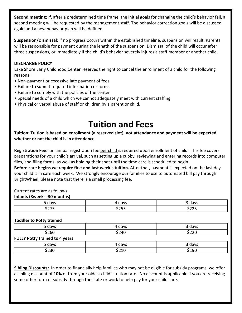**Second meeting:** If, after a predetermined time frame, the initial goals for changing the child's behavior fail, a second meeting will be requested by the management staff. The behavior correction goals will be discussed again and a new behavior plan will be defined.

**Suspension/Dismissal:** If no progress occurs within the established timeline, suspension will result. Parents will be responsible for payment during the length of the suspension. Dismissal of the child will occur after three suspensions, or immediately if the child's behavior severely injures a staff member or another child.

#### **DISCHARGE POLICY**

Lake Shore Early Childhood Center reserves the right to cancel the enrollment of a child for the following reasons:

- Non-payment or excessive late payment of fees
- Failure to submit required information or forms
- Failure to comply with the policies of the center
- Special needs of a child which we cannot adequately meet with current staffing.
- Physical or verbal abuse of staff or children by a parent or child.

### **Tuition and Fees**

**Tuition: Tuition is based on enrollment (a reserved slot), not attendance and payment will be expected whether or not the child is in attendance.** 

**Registration Fee:** an annual registration fee per child is required upon enrollment of child. This fee covers preparations for your child's arrival, such as setting up a cubby, reviewing and entering records into computer files, and filing forms, as well as holding their spot until the time care is scheduled to begin.

**Before care begins we require first and last week's tuition.** After that**,** payment is expected on the last day your child is in care each week. We strongly encourage our families to use to automated bill pay through BrightWheel, please note that there is a small processing fee.

Current rates are as follows:

#### **Infants (8weeks -30 months)**

| uavr<br><u>.</u> | days                |                                |
|------------------|---------------------|--------------------------------|
| ----<br>.        | $A \cap F$<br>ـ _ _ | $\sim$ $\sim$ $\sim$<br>رے ے ب |

#### **Toddler to Potty trained**

| 5 days                                | 4 days | 3 days |
|---------------------------------------|--------|--------|
| \$260                                 | \$240  | \$220  |
| <b>FULLY Potty trained to 4 years</b> |        |        |
| 5 days                                | 4 davs | 3 days |
| \$230                                 | \$210  | \$190  |

**Sibling Discounts:** In order to financially help families who may not be eligible for subsidy programs, we offer a sibling discount of **10%** of from your oldest child's tuition rate. No discount is applicable if you are receiving some other form of subsidy through the state or work to help pay for your child care.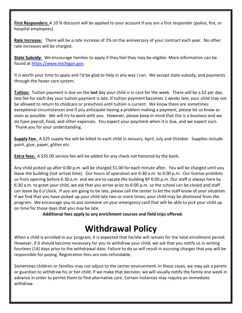**First Responders:** A 10 % discount will be applied to your account if you are a first responder (police, fire, or hospital employees)

**Rate Increase:** There will be a rate increase of 2% on the anniversary of your contract each year. No other rate increases will be charged.

**State Subsidy:** We encourage families to apply if they feel they may be eligible. More information can be found at [https://www.michigan.gov.](https://www.michigan.gov/mde/0,4615,7-140-63533_63534_72609---,00.html#faq)

It is worth your time to apply and I'd be glad to help in any way I can. We accept state subsidy, and payments through the foster care system.

**Tuition:** Tuition payment is due on the **last** day your child is in care for the week. There will be a \$2 per day late fee for each day your tuition payment is late. If tuition payment becomes 1 weeks late, your child may not be allowed to return to childcare or preschool until tuition is current. We know there are sometimes exceptional circumstances and if you anticipate having a problem making a payment, please let us know as soon as possible. We will try to work with you. However, please keep in mind that this is a business and we do have payroll, food, and other expenses. You expect your paycheck when it is due, and we expect ours. Thank you for your understanding.

**Supply Fee:** A \$25 supply fee will be billed to each child in January, April, July and October. Supplies include paint, glue, paper, glitter etc.

**Extra fees:** A \$35.00 service fee will be added for any check not honored by the bank.

Any child picked up after 6:00 p.m. will be charged \$1.00 for each minute after. You will be charged until you leave the building (not arrival time). Our hours of operation are 6:30 a.m. to 6:00 p.m. Our license prohibits us from opening before 6:30 a.m. and we are to vacate the building BY 6:00 p.m. Our staff is always here by 6:30 a.m. to greet your child, we ask that you arrive prior to 6:00 p.m. so the school can be closed and staff can leave by 6 o'clock. If you are going to be late, please call the center to let the staff know of your situation. If we find that you have picked up your child late two or more times, your child may be dismissed from the program. We encourage you to put someone on your emergency card that will be able to pick your child up on time for those days that you may be late.

**Additional fees apply to any enrichment courses and field trips offered.**

### **Withdrawal Policy**

When a child is enrolled in our program, it is expected that he/she will remain for the total enrollment period. However, if it should become necessary for you to withdraw your child, we ask that you notify us in writing fourteen (14) days prior to the withdrawal date. Failure to do so will result in accruing charges that you will be responsible for paying. Registration fees are non-refundable.

Sometimes children or families may not adjust to the center environment. In these cases, we may ask a parent or guardian to withdraw his or her child. If we make that decision, we will usually notify the family one week in advance in order to permit them to find alternative care. Certain instances may require an immediate withdraw.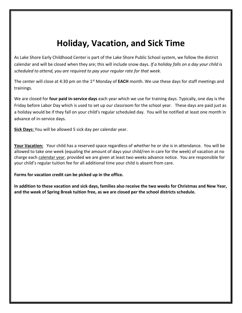### **Holiday, Vacation, and Sick Time**

As Lake Shore Early Childhood Center is part of the Lake Shore Public School system, we follow the district calendar and will be closed when they are; this will include snow days*. If a holiday falls on a day your child is scheduled to attend, you are required to pay your regular rate for that week.* 

The center will close at 4:30 pm on the 1<sup>st</sup> Monday of **EACH** month. We use these days for staff meetings and trainings.

We are closed for **four paid in-service days** each year which we use for training days. Typically, one day is the Friday before Labor Day which is used to set up our classroom for the school year. These days are paid just as a holiday would be if they fall on your child's regular scheduled day. You will be notified at least one month in advance of in-service days.

**Sick Days:** You will be allowed 5 sick day per calendar year.

**Your Vacation:** Your child has a reserved space regardless of whether he or she is in attendance. You will be allowed to take one week (equaling the amount of days your child/ren in care for the week) of vacation at no charge each calendar year, provided we are given at least two weeks advance notice. You are responsible for your child's regular tuition fee for all additional time your child is absent from care.

#### **Forms for vacation credit can be picked up in the office.**

**In addition to these vacation and sick days, families also receive the two weeks for Christmas and New Year, and the week of Spring Break tuition free, as we are closed per the school districts schedule.**